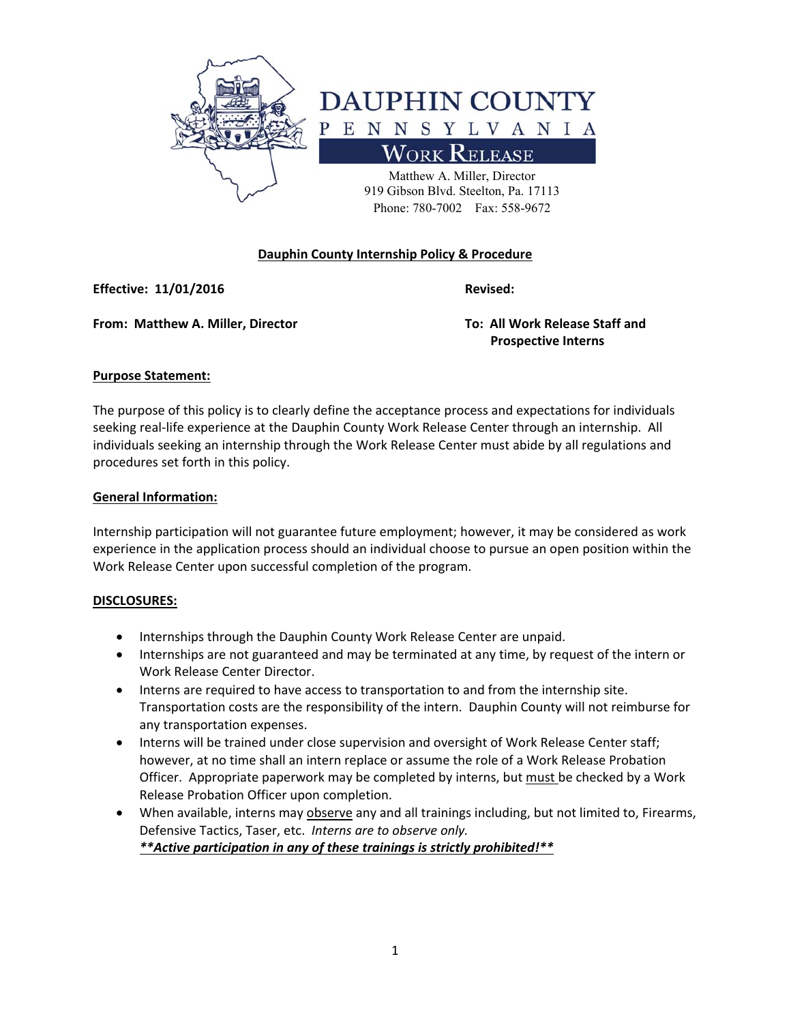

# **Dauphin County Internship Policy & Procedure**

**Effective: 11/01/2016** *Revised: Revised:* 

**From: Matthew A. Miller, Director To: All Work Release Staff and** 

 **Prospective Interns** 

## **Purpose Statement:**

The purpose of this policy is to clearly define the acceptance process and expectations for individuals seeking real-life experience at the Dauphin County Work Release Center through an internship. All individuals seeking an internship through the Work Release Center must abide by all regulations and procedures set forth in this policy.

## **General Information:**

Internship participation will not guarantee future employment; however, it may be considered as work experience in the application process should an individual choose to pursue an open position within the Work Release Center upon successful completion of the program.

## **DISCLOSURES:**

- **•** Internships through the Dauphin County Work Release Center are unpaid.
- Internships are not guaranteed and may be terminated at any time, by request of the intern or Work Release Center Director.
- Interns are required to have access to transportation to and from the internship site. Transportation costs are the responsibility of the intern. Dauphin County will not reimburse for any transportation expenses.
- Interns will be trained under close supervision and oversight of Work Release Center staff; however, at no time shall an intern replace or assume the role of a Work Release Probation Officer. Appropriate paperwork may be completed by interns, but must be checked by a Work Release Probation Officer upon completion.
- When available, interns may observe any and all trainings including, but not limited to, Firearms, Defensive Tactics, Taser, etc. *Interns are to observe only. \*\*Active participation in any of these trainings is strictly prohibited!\*\**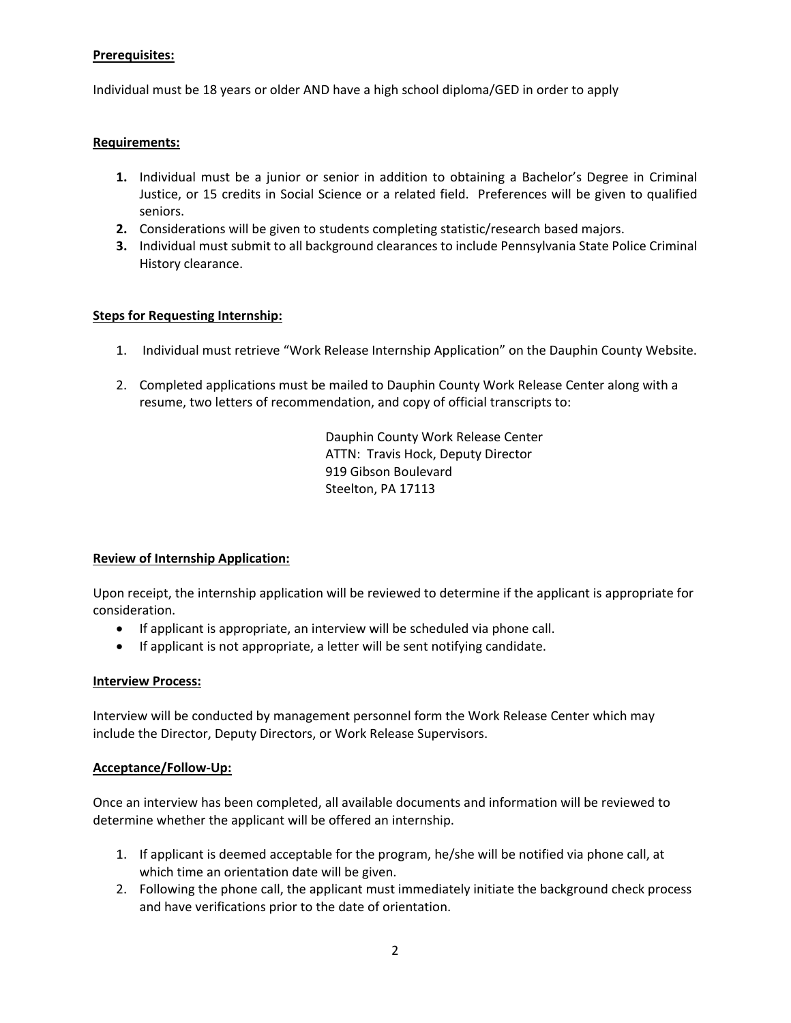# **Prerequisites:**

Individual must be 18 years or older AND have a high school diploma/GED in order to apply

## **Requirements:**

- **1.** Individual must be a junior or senior in addition to obtaining a Bachelor's Degree in Criminal Justice, or 15 credits in Social Science or a related field. Preferences will be given to qualified seniors.
- **2.** Considerations will be given to students completing statistic/research based majors.
- **3.** Individual must submit to all background clearances to include Pennsylvania State Police Criminal History clearance.

## **Steps for Requesting Internship:**

- 1. Individual must retrieve "Work Release Internship Application" on the Dauphin County Website.
- 2. Completed applications must be mailed to Dauphin County Work Release Center along with a resume, two letters of recommendation, and copy of official transcripts to:

Dauphin County Work Release Center ATTN: Travis Hock, Deputy Director 919 Gibson Boulevard Steelton, PA 17113

## **Review of Internship Application:**

Upon receipt, the internship application will be reviewed to determine if the applicant is appropriate for consideration.

- If applicant is appropriate, an interview will be scheduled via phone call.
- If applicant is not appropriate, a letter will be sent notifying candidate.

## **Interview Process:**

Interview will be conducted by management personnel form the Work Release Center which may include the Director, Deputy Directors, or Work Release Supervisors.

#### **Acceptance/Follow‐Up:**

Once an interview has been completed, all available documents and information will be reviewed to determine whether the applicant will be offered an internship.

- 1. If applicant is deemed acceptable for the program, he/she will be notified via phone call, at which time an orientation date will be given.
- 2. Following the phone call, the applicant must immediately initiate the background check process and have verifications prior to the date of orientation.